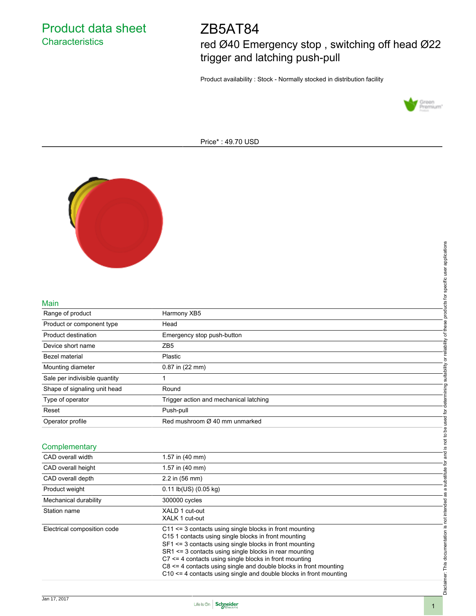Product data sheet **Characteristics** 

# ZB5AT84

red Ø40 Emergency stop , switching off head Ø22 trigger and latching push-pull

Product availability : Stock - Normally stocked in distribution facility



Price\* : 49.70 USD



#### Main

|                               |                                                                                                                 | products for specific user applications         |
|-------------------------------|-----------------------------------------------------------------------------------------------------------------|-------------------------------------------------|
|                               |                                                                                                                 |                                                 |
|                               |                                                                                                                 |                                                 |
|                               |                                                                                                                 |                                                 |
|                               |                                                                                                                 |                                                 |
| Main                          |                                                                                                                 |                                                 |
| Range of product              | Harmony XB5                                                                                                     |                                                 |
| Product or component type     | Head                                                                                                            |                                                 |
| <b>Product destination</b>    | Emergency stop push-button                                                                                      |                                                 |
| Device short name             | ZB <sub>5</sub>                                                                                                 |                                                 |
| Bezel material                | Plastic                                                                                                         |                                                 |
| Mounting diameter             | 0.87 in (22 mm)                                                                                                 | determining suitability or reliability of these |
| Sale per indivisible quantity | 1                                                                                                               |                                                 |
| Shape of signaling unit head  | Round                                                                                                           |                                                 |
| Type of operator              | Trigger action and mechanical latching                                                                          |                                                 |
| Reset                         | Push-pull                                                                                                       |                                                 |
| Operator profile              | Red mushroom Ø 40 mm unmarked                                                                                   | is not to be used for                           |
|                               |                                                                                                                 |                                                 |
| Complementary                 |                                                                                                                 |                                                 |
| CAD overall width             | 1.57 in (40 mm)                                                                                                 | and                                             |
| CAD overall height            | 1.57 in (40 mm)                                                                                                 |                                                 |
| CAD overall depth             | 2.2 in (56 mm)                                                                                                  | substitute for                                  |
| Product weight                | 0.11 lb(US) (0.05 kg)                                                                                           | $\ddot{\sigma}$                                 |
| Mechanical durability         | 300000 cycles                                                                                                   | æ                                               |
| Station name                  | XALD 1 cut-out                                                                                                  |                                                 |
|                               | XALK 1 cut-out                                                                                                  |                                                 |
| Electrical composition code   | C11 <= 3 contacts using single blocks in front mounting<br>C15 1 contacts using single blocks in front mounting |                                                 |
|                               | SF1 <= 3 contacts using single blocks in front mounting                                                         |                                                 |
|                               | SR1 <= 3 contacts using single blocks in rear mounting                                                          |                                                 |
|                               | $C7 \leq 4$ contacts using single blocks in front mounting                                                      |                                                 |
|                               | C8 <= 4 contacts using single and double blocks in front mounting                                               |                                                 |
|                               | C10 <= 4 contacts using single and double blocks in front mounting                                              |                                                 |
|                               |                                                                                                                 | Disclaimer: This documentation is not intended  |
|                               |                                                                                                                 |                                                 |

### **Complementary**

| CAD overall width           | 1.57 in (40 mm)                                                                                                                                                                                                                                                                                                                                                                                                                                                           |
|-----------------------------|---------------------------------------------------------------------------------------------------------------------------------------------------------------------------------------------------------------------------------------------------------------------------------------------------------------------------------------------------------------------------------------------------------------------------------------------------------------------------|
| CAD overall height          | 1.57 in (40 mm)                                                                                                                                                                                                                                                                                                                                                                                                                                                           |
| CAD overall depth           | $2.2$ in (56 mm)                                                                                                                                                                                                                                                                                                                                                                                                                                                          |
| Product weight              | $0.11$ lb(US) $(0.05$ kg)                                                                                                                                                                                                                                                                                                                                                                                                                                                 |
| Mechanical durability       | 300000 cycles                                                                                                                                                                                                                                                                                                                                                                                                                                                             |
| Station name                | XALD 1 cut-out<br>XALK 1 cut-out                                                                                                                                                                                                                                                                                                                                                                                                                                          |
| Electrical composition code | $C11 \leq 3$ contacts using single blocks in front mounting<br>C <sub>15</sub> 1 contacts using single blocks in front mounting<br>$SF1 \leq 3$ contacts using single blocks in front mounting<br>SR1 <= 3 contacts using single blocks in rear mounting<br>$C7 \leq 4$ contacts using single blocks in front mounting<br>$C8 \leq 4$ contacts using single and double blocks in front mounting<br>$C10 \leq 4$ contacts using single and double blocks in front mounting |